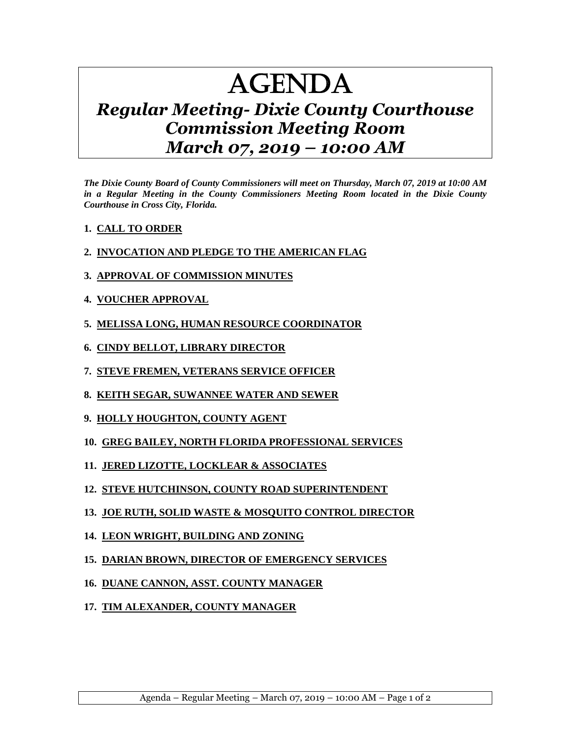## AGENDA

## *Regular Meeting- Dixie County Courthouse Commission Meeting Room March 07, 2019 – 10:00 AM*

*The Dixie County Board of County Commissioners will meet on Thursday, March 07, 2019 at 10:00 AM in a Regular Meeting in the County Commissioners Meeting Room located in the Dixie County Courthouse in Cross City, Florida.*

- **1. CALL TO ORDER**
- **2. INVOCATION AND PLEDGE TO THE AMERICAN FLAG**
- **3. APPROVAL OF COMMISSION MINUTES**
- **4. VOUCHER APPROVAL**
- **5. MELISSA LONG, HUMAN RESOURCE COORDINATOR**
- **6. CINDY BELLOT, LIBRARY DIRECTOR**
- **7. STEVE FREMEN, VETERANS SERVICE OFFICER**
- **8. KEITH SEGAR, SUWANNEE WATER AND SEWER**
- **9. HOLLY HOUGHTON, COUNTY AGENT**
- **10. GREG BAILEY, NORTH FLORIDA PROFESSIONAL SERVICES**
- **11. JERED LIZOTTE, LOCKLEAR & ASSOCIATES**
- **12. STEVE HUTCHINSON, COUNTY ROAD SUPERINTENDENT**
- **13. JOE RUTH, SOLID WASTE & MOSQUITO CONTROL DIRECTOR**
- **14. LEON WRIGHT, BUILDING AND ZONING**
- **15. DARIAN BROWN, DIRECTOR OF EMERGENCY SERVICES**
- **16. DUANE CANNON, ASST. COUNTY MANAGER**
- **17. TIM ALEXANDER, COUNTY MANAGER**